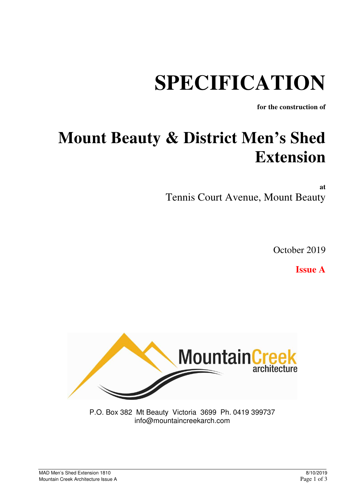# **SPECIFICATION**

**for the construction of** 

## **Mount Beauty & District Men's Shed Extension**

**at**  Tennis Court Avenue, Mount Beauty

October 2019

**Issue A** 



P.O. Box 382 Mt Beauty Victoria 3699 Ph. 0419 399737 info@mountaincreekarch.com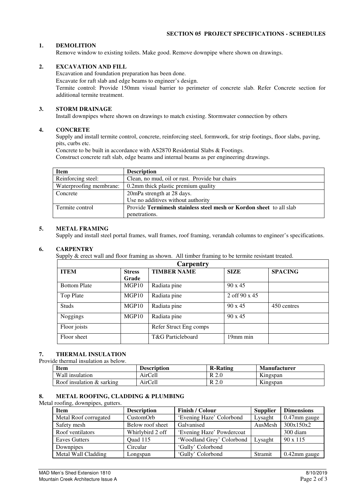#### **1. DEMOLITION**

Remove window to existing toilets. Make good. Remove downpipe where shown on drawings.

#### **2. EXCAVATION AND FILL**

Excavation and foundation preparation has been done.

Excavate for raft slab and edge beams to engineer's design.

Termite control: Provide 150mm visual barrier to perimeter of concrete slab. Refer Concrete section for additional termite treatment.

#### **3. STORM DRAINAGE**

Install downpipes where shown on drawings to match existing. Stormwater connection by others

#### **4. CONCRETE**

Supply and install termite control, concrete, reinforcing steel, formwork, for strip footings, floor slabs, paving, pits, curbs etc.

Concrete to be built in accordance with AS2870 Residential Slabs & Footings.

Construct concrete raft slab, edge beams and internal beams as per engineering drawings.

| Item                    | <b>Description</b>                                                 |
|-------------------------|--------------------------------------------------------------------|
| Reinforcing steel:      | Clean, no mud, oil or rust. Provide bar chairs                     |
| Waterproofing membrane: | 0.2mm thick plastic premium quality                                |
| Concrete                | 20 mPa strength at 28 days.                                        |
|                         | Use no additives without authority                                 |
| Termite control         | Provide Termimesh stainless steel mesh or Kordon sheet to all slab |
|                         | penetrations.                                                      |

#### **5. METAL FRAMING**

Supply and install steel portal frames, wall frames, roof framing, verandah columns to engineer's specifications.

#### **6. CARPENTRY**

Supply & erect wall and floor framing as shown. All timber framing to be termite resistant treated.

| Carpentry           |                                     |                        |                      |                |  |  |
|---------------------|-------------------------------------|------------------------|----------------------|----------------|--|--|
| <b>ITEM</b>         | <b>TIMBER NAME</b><br><b>Stress</b> |                        | <b>SIZE</b>          | <b>SPACING</b> |  |  |
|                     | Grade                               |                        |                      |                |  |  |
| <b>Bottom Plate</b> | MGP10                               | Radiata pine           | $90 \times 45$       |                |  |  |
| Top Plate           | MGP10                               | Radiata pine           | 2 off $90 \times 45$ |                |  |  |
| <b>Studs</b>        | MGP10                               | Radiata pine           | $90 \times 45$       | 450 centres    |  |  |
| Noggings            | MGP10                               | Radiata pine           | $90 \times 45$       |                |  |  |
| Floor joists        |                                     | Refer Struct Eng comps |                      |                |  |  |
| Floor sheet         |                                     | T&G Particleboard      | 19mm min             |                |  |  |

#### **7. THERMAL INSULATION**

Provide thermal insulation as below.

| <b>Item</b>               | Description | <b>R-Rating</b>      | Manufacturer             |
|---------------------------|-------------|----------------------|--------------------------|
| Wall insulation           | AirCell     | D                    | $\mathbf{v}$<br>Kingspan |
| Roof insulation & sarking | AirCell     | $D \Omega$<br>$\sim$ | $T$ .<br>Kingspan        |

#### **8. METAL ROOFING, CLADDING & PLUMBING**

Metal roofing, downpipes, gutters.

| <b>Item</b><br><b>Description</b> |                  | <b>Finish / Colour</b>    | <b>Supplier</b> | <b>Dimensions</b> |
|-----------------------------------|------------------|---------------------------|-----------------|-------------------|
| Metal Roof corrugated             | CustomOrb        | 'Evening Haze' Colorbond  | Lysaght         | 0.47mm gauge      |
| Safety mesh                       | Below roof sheet | Galvanised                | AusMesh         | 300x150x2         |
| Roof ventilators                  | Whirlybird 2 off | 'Evening Haze' Powdercoat |                 | 300 diam          |
| <b>Eaves Gutters</b>              | Quad 115         | 'Woodland Grey' Colorbond | Lysaght         | $90 \times 115$   |
| Downpipes                         | Circular         | 'Gully' Colorbond         |                 |                   |
| Metal Wall Cladding               | Longspan         | 'Gully' Colorbond         | Stramit         | 0.42mm gauge      |